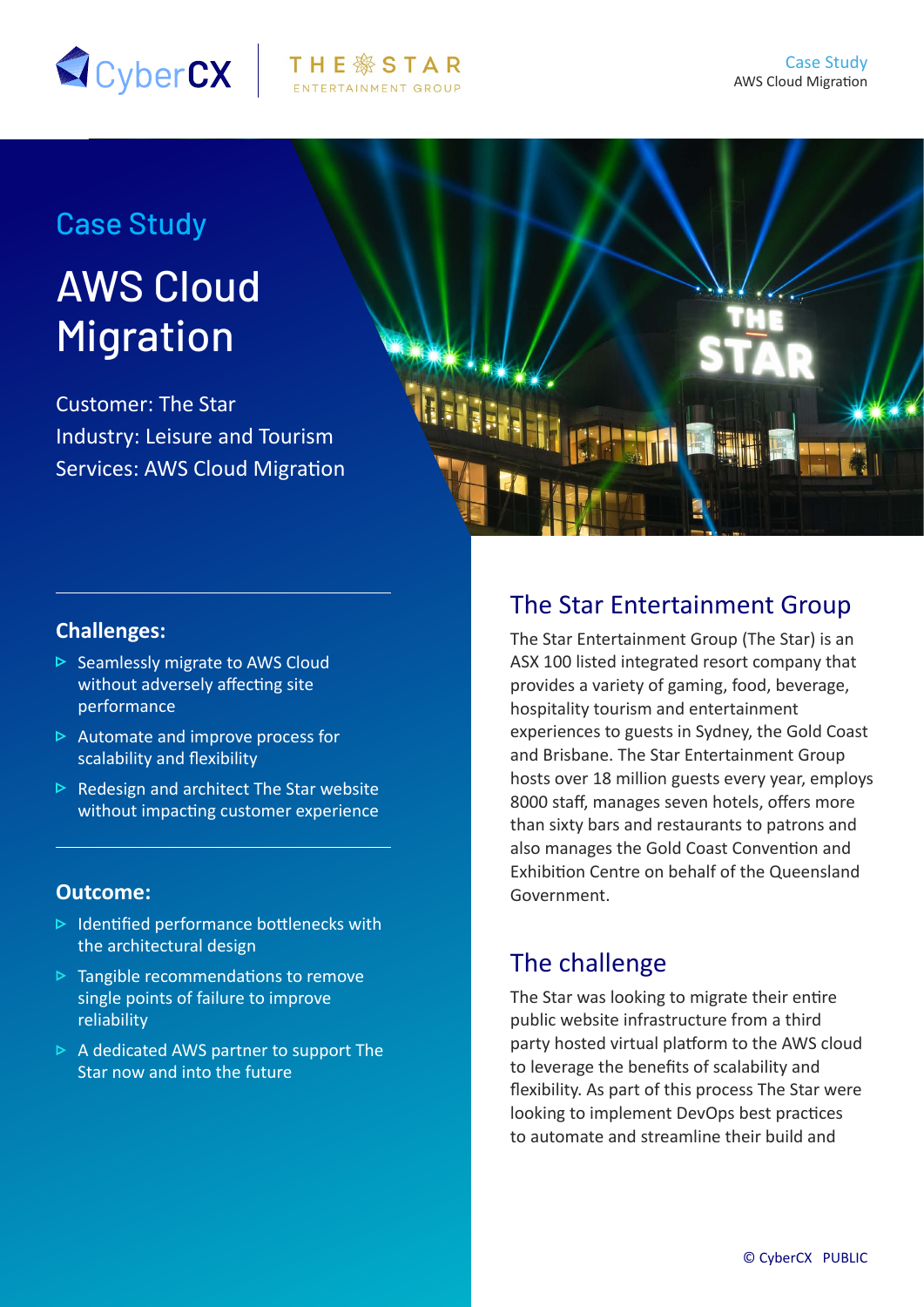

## Case Study

# AWS Cloud Migration

Customer: The Star Industry: Leisure and Tourism Services: AWS Cloud Migration



#### **Challenges:**

- $\triangleright$  Seamlessly migrate to AWS Cloud without adversely affecting site performance
- $\triangleright$  Automate and improve process for scalability and flexibility
- $\triangleright$  Redesign and architect The Star website without impacting customer experience

#### **Outcome:**

- $\triangleright$  Identified performance bottlenecks with the architectural design
- $\triangleright$  Tangible recommendations to remove single points of failure to improve reliability
- $\triangleright$  A dedicated AWS partner to support The Star now and into the future

#### The Star Entertainment Group

The Star Entertainment Group (The Star) is an ASX 100 listed integrated resort company that provides a variety of gaming, food, beverage, hospitality tourism and entertainment experiences to guests in Sydney, the Gold Coast and Brisbane. The Star Entertainment Group hosts over 18 million guests every year, employs 8000 staff, manages seven hotels, offers more than sixty bars and restaurants to patrons and also manages the Gold Coast Convention and Exhibition Centre on behalf of the Queensland Government.

## The challenge

The Star was looking to migrate their entire public website infrastructure from a third party hosted virtual platform to the AWS cloud to leverage the benefits of scalability and flexibility. As part of this process The Star were looking to implement DevOps best practices to automate and streamline their build and